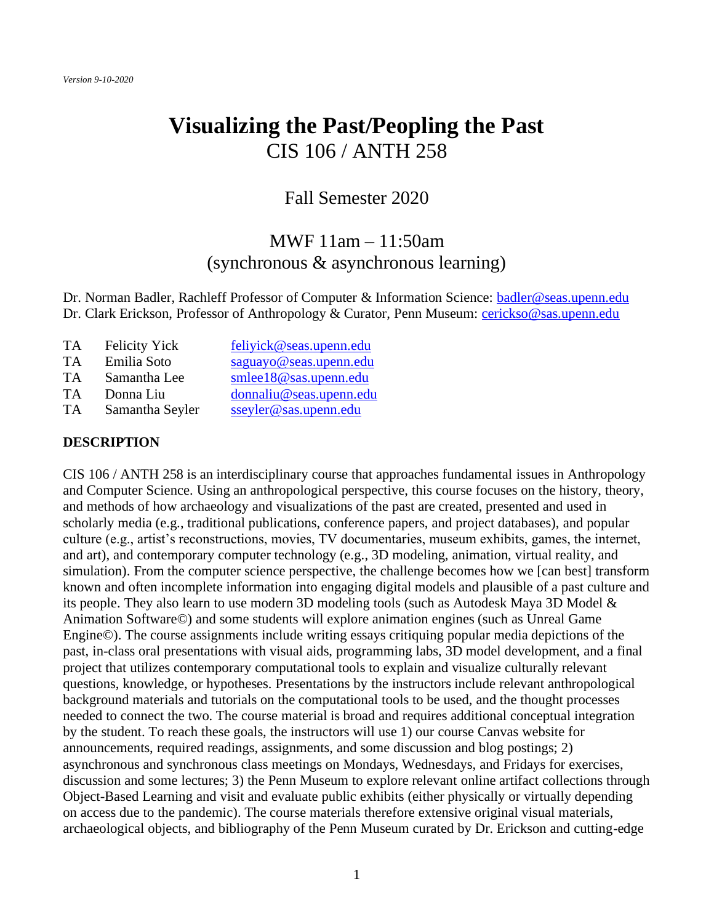# **Visualizing the Past/Peopling the Past** CIS 106 / ANTH 258

# Fall Semester 2020

# MWF 11am – 11:50am (synchronous & asynchronous learning)

Dr. Norman Badler, Rachleff Professor of Computer & Information Science: [badler@seas.upenn.edu](mailto:badler@seas.upenn.edu) Dr. Clark Erickson, Professor of Anthropology & Curator, Penn Museum: [cerickso@sas.upenn.edu](mailto:cerickso@sas.upenn.edu)

| TA. | <b>Felicity Yick</b> | feliyick@seas.upenn.edu |
|-----|----------------------|-------------------------|
| TA  | Emilia Soto          | saguayo@seas.upenn.edu  |
| TA  | Samantha Lee         | smlee18@sas.upenn.edu   |
| TA  | Donna Liu            | donnaliu@seas.upenn.edu |
| TA  | Samantha Seyler      | sseyler@sas.upenn.edu   |

#### **DESCRIPTION**

CIS 106 / ANTH 258 is an interdisciplinary course that approaches fundamental issues in Anthropology and Computer Science. Using an anthropological perspective, this course focuses on the history, theory, and methods of how archaeology and visualizations of the past are created, presented and used in scholarly media (e.g., traditional publications, conference papers, and project databases), and popular culture (e.g., artist's reconstructions, movies, TV documentaries, museum exhibits, games, the internet, and art), and contemporary computer technology (e.g., 3D modeling, animation, virtual reality, and simulation). From the computer science perspective, the challenge becomes how we [can best] transform known and often incomplete information into engaging digital models and plausible of a past culture and its people. They also learn to use modern 3D modeling tools (such as Autodesk Maya 3D Model & Animation Software©) and some students will explore animation engines (such as Unreal Game Engine©). The course assignments include writing essays critiquing popular media depictions of the past, in-class oral presentations with visual aids, programming labs, 3D model development, and a final project that utilizes contemporary computational tools to explain and visualize culturally relevant questions, knowledge, or hypotheses. Presentations by the instructors include relevant anthropological background materials and tutorials on the computational tools to be used, and the thought processes needed to connect the two. The course material is broad and requires additional conceptual integration by the student. To reach these goals, the instructors will use 1) our course Canvas website for announcements, required readings, assignments, and some discussion and blog postings; 2) asynchronous and synchronous class meetings on Mondays, Wednesdays, and Fridays for exercises, discussion and some lectures; 3) the Penn Museum to explore relevant online artifact collections through Object-Based Learning and visit and evaluate public exhibits (either physically or virtually depending on access due to the pandemic). The course materials therefore extensive original visual materials, archaeological objects, and bibliography of the Penn Museum curated by Dr. Erickson and cutting-edge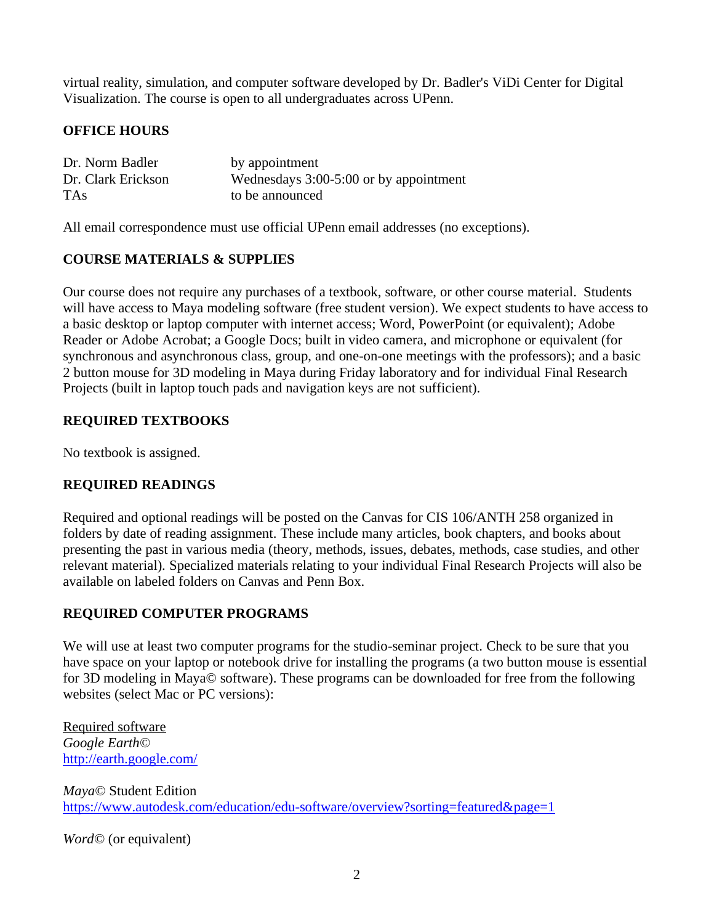virtual reality, simulation, and computer software developed by Dr. Badler's ViDi Center for Digital Visualization. The course is open to all undergraduates across UPenn.

# **OFFICE HOURS**

| Dr. Norm Badler    | by appointment                         |
|--------------------|----------------------------------------|
| Dr. Clark Erickson | Wednesdays 3:00-5:00 or by appointment |
| <b>TAs</b>         | to be announced                        |

All email correspondence must use official UPenn email addresses (no exceptions).

## **COURSE MATERIALS & SUPPLIES**

Our course does not require any purchases of a textbook, software, or other course material. Students will have access to Maya modeling software (free student version). We expect students to have access to a basic desktop or laptop computer with internet access; Word, PowerPoint (or equivalent); Adobe Reader or Adobe Acrobat; a Google Docs; built in video camera, and microphone or equivalent (for synchronous and asynchronous class, group, and one-on-one meetings with the professors); and a basic 2 button mouse for 3D modeling in Maya during Friday laboratory and for individual Final Research Projects (built in laptop touch pads and navigation keys are not sufficient).

## **REQUIRED TEXTBOOKS**

No textbook is assigned.

# **REQUIRED READINGS**

Required and optional readings will be posted on the Canvas for CIS 106/ANTH 258 organized in folders by date of reading assignment. These include many articles, book chapters, and books about presenting the past in various media (theory, methods, issues, debates, methods, case studies, and other relevant material). Specialized materials relating to your individual Final Research Projects will also be available on labeled folders on Canvas and Penn Box.

#### **REQUIRED COMPUTER PROGRAMS**

We will use at least two computer programs for the studio-seminar project. Check to be sure that you have space on your laptop or notebook drive for installing the programs (a two button mouse is essential for 3D modeling in Maya© software). These programs can be downloaded for free from the following websites (select Mac or PC versions):

Required software *Google Earth©* <http://earth.google.com/>

*Maya©* Student Edition <https://www.autodesk.com/education/edu-software/overview?sorting=featured&page=1>

*Word©* (or equivalent)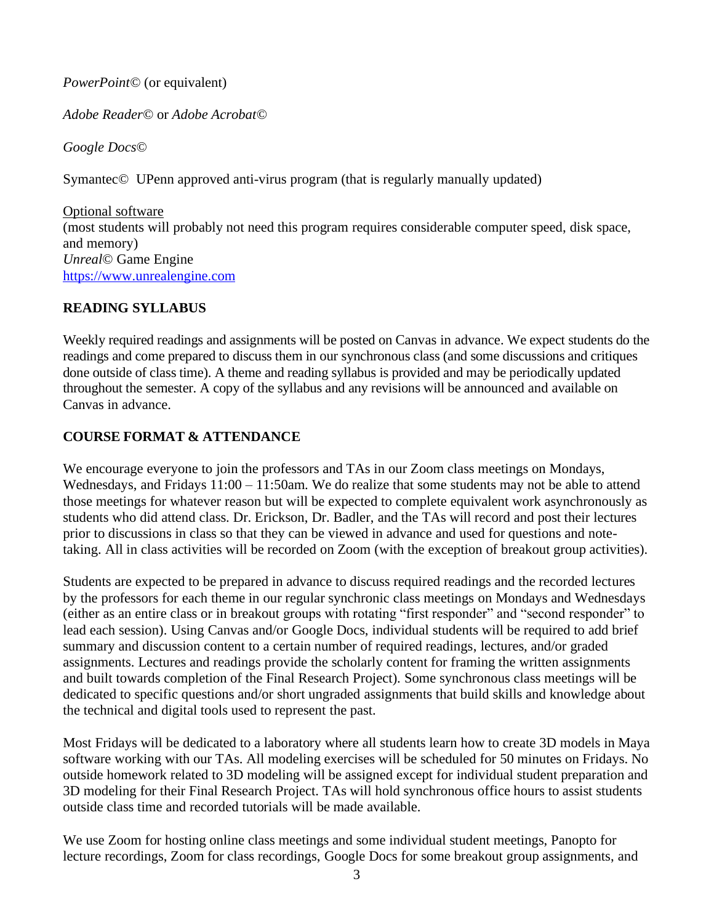*PowerPoint©* (or equivalent)

*Adobe Reader©* or *Adobe Acrobat©*

*Google Docs©*

Symantec*©* UPenn approved anti-virus program (that is regularly manually updated)

Optional software (most students will probably not need this program requires considerable computer speed, disk space, and memory) *Unreal*© Game Engine [https://www.unrealengine.com](https://www.unrealengine.com/)

#### **READING SYLLABUS**

Weekly required readings and assignments will be posted on Canvas in advance. We expect students do the readings and come prepared to discuss them in our synchronous class (and some discussions and critiques done outside of class time). A theme and reading syllabus is provided and may be periodically updated throughout the semester. A copy of the syllabus and any revisions will be announced and available on Canvas in advance.

## **COURSE FORMAT & ATTENDANCE**

We encourage everyone to join the professors and TAs in our Zoom class meetings on Mondays, Wednesdays, and Fridays  $11:00 - 11:50$ am. We do realize that some students may not be able to attend those meetings for whatever reason but will be expected to complete equivalent work asynchronously as students who did attend class. Dr. Erickson, Dr. Badler, and the TAs will record and post their lectures prior to discussions in class so that they can be viewed in advance and used for questions and notetaking. All in class activities will be recorded on Zoom (with the exception of breakout group activities).

Students are expected to be prepared in advance to discuss required readings and the recorded lectures by the professors for each theme in our regular synchronic class meetings on Mondays and Wednesdays (either as an entire class or in breakout groups with rotating "first responder" and "second responder" to lead each session). Using Canvas and/or Google Docs, individual students will be required to add brief summary and discussion content to a certain number of required readings, lectures, and/or graded assignments. Lectures and readings provide the scholarly content for framing the written assignments and built towards completion of the Final Research Project). Some synchronous class meetings will be dedicated to specific questions and/or short ungraded assignments that build skills and knowledge about the technical and digital tools used to represent the past.

Most Fridays will be dedicated to a laboratory where all students learn how to create 3D models in Maya software working with our TAs. All modeling exercises will be scheduled for 50 minutes on Fridays. No outside homework related to 3D modeling will be assigned except for individual student preparation and 3D modeling for their Final Research Project. TAs will hold synchronous office hours to assist students outside class time and recorded tutorials will be made available.

We use Zoom for hosting online class meetings and some individual student meetings, Panopto for lecture recordings, Zoom for class recordings, Google Docs for some breakout group assignments, and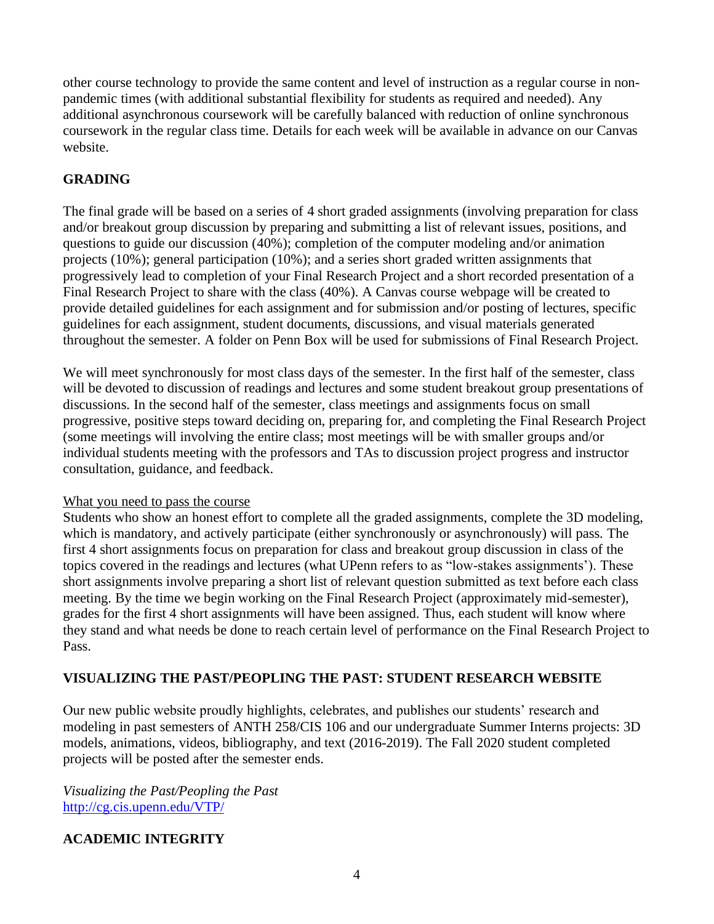other course technology to provide the same content and level of instruction as a regular course in nonpandemic times (with additional substantial flexibility for students as required and needed). Any additional asynchronous coursework will be carefully balanced with reduction of online synchronous coursework in the regular class time. Details for each week will be available in advance on our Canvas website.

# **GRADING**

The final grade will be based on a series of 4 short graded assignments (involving preparation for class and/or breakout group discussion by preparing and submitting a list of relevant issues, positions, and questions to guide our discussion (40%); completion of the computer modeling and/or animation projects (10%); general participation (10%); and a series short graded written assignments that progressively lead to completion of your Final Research Project and a short recorded presentation of a Final Research Project to share with the class (40%). A Canvas course webpage will be created to provide detailed guidelines for each assignment and for submission and/or posting of lectures, specific guidelines for each assignment, student documents, discussions, and visual materials generated throughout the semester. A folder on Penn Box will be used for submissions of Final Research Project.

We will meet synchronously for most class days of the semester. In the first half of the semester, class will be devoted to discussion of readings and lectures and some student breakout group presentations of discussions. In the second half of the semester, class meetings and assignments focus on small progressive, positive steps toward deciding on, preparing for, and completing the Final Research Project (some meetings will involving the entire class; most meetings will be with smaller groups and/or individual students meeting with the professors and TAs to discussion project progress and instructor consultation, guidance, and feedback.

#### What you need to pass the course

Students who show an honest effort to complete all the graded assignments, complete the 3D modeling, which is mandatory, and actively participate (either synchronously or asynchronously) will pass. The first 4 short assignments focus on preparation for class and breakout group discussion in class of the topics covered in the readings and lectures (what UPenn refers to as "low-stakes assignments'). These short assignments involve preparing a short list of relevant question submitted as text before each class meeting. By the time we begin working on the Final Research Project (approximately mid-semester), grades for the first 4 short assignments will have been assigned. Thus, each student will know where they stand and what needs be done to reach certain level of performance on the Final Research Project to Pass.

#### **VISUALIZING THE PAST/PEOPLING THE PAST: STUDENT RESEARCH WEBSITE**

Our new public website proudly highlights, celebrates, and publishes our students' research and modeling in past semesters of ANTH 258/CIS 106 and our undergraduate Summer Interns projects: 3D models, animations, videos, bibliography, and text (2016-2019). The Fall 2020 student completed projects will be posted after the semester ends.

*Visualizing the Past/Peopling the Past* [http://cg.cis.upenn.edu/VTP/](http://cg.cis.upenn.edu/VTP/index.html)

# **ACADEMIC INTEGRITY**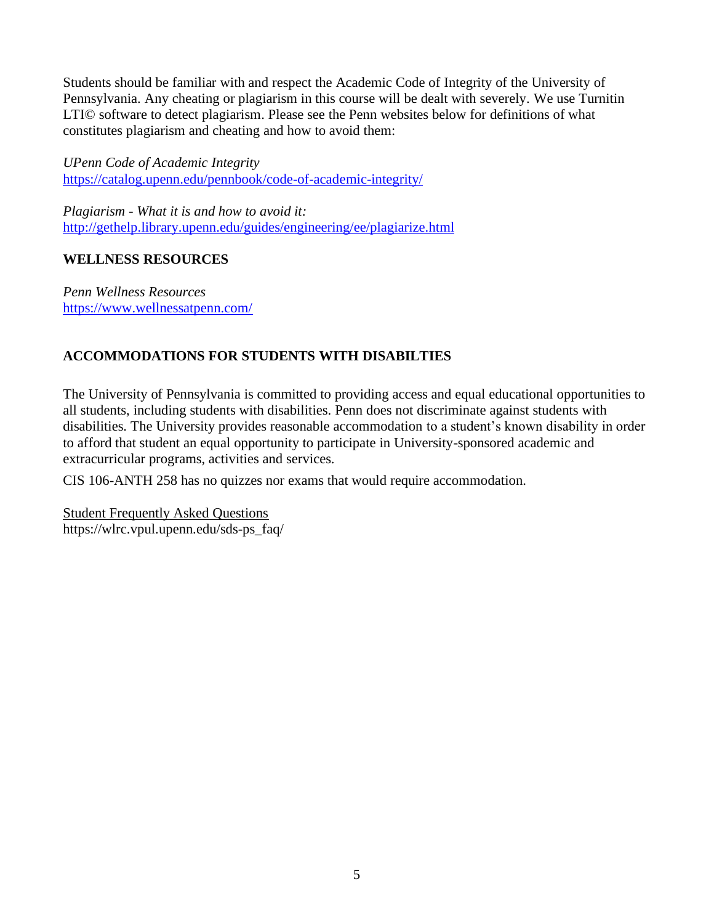Students should be familiar with and respect the Academic Code of Integrity of the University of Pennsylvania. Any cheating or plagiarism in this course will be dealt with severely. We use Turnitin LTI© software to detect plagiarism. Please see the Penn websites below for definitions of what constitutes plagiarism and cheating and how to avoid them:

*UPenn Code of Academic Integrity*  <https://catalog.upenn.edu/pennbook/code-of-academic-integrity/>

*Plagiarism - What it is and how to avoid it:*  <http://gethelp.library.upenn.edu/guides/engineering/ee/plagiarize.html>

# **WELLNESS RESOURCES**

*Penn Wellness Resources*  <https://www.wellnessatpenn.com/>

# **ACCOMMODATIONS FOR STUDENTS WITH DISABILTIES**

The University of Pennsylvania is committed to providing access and equal educational opportunities to all students, including students with disabilities. Penn does not discriminate against students with disabilities. The University provides reasonable accommodation to a student's known disability in order to afford that student an equal opportunity to participate in University-sponsored academic and extracurricular programs, activities and services.

CIS 106-ANTH 258 has no quizzes nor exams that would require accommodation.

Student Frequently Asked Questions https://wlrc.vpul.upenn.edu/sds-ps\_faq/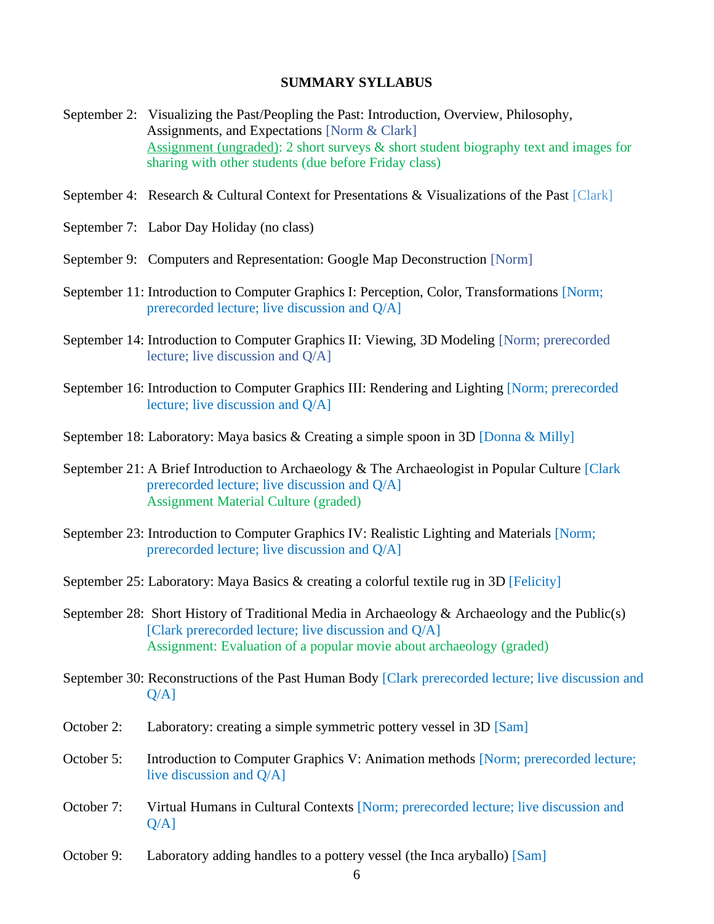#### **SUMMARY SYLLABUS**

- September 2: Visualizing the Past/Peopling the Past: Introduction, Overview, Philosophy, Assignments, and Expectations [Norm & Clark] Assignment (ungraded): 2 short surveys & short student biography text and images for sharing with other students (due before Friday class)
- September 4: Research & Cultural Context for Presentations & Visualizations of the Past [Clark]
- September 7: Labor Day Holiday (no class)
- September 9: Computers and Representation: Google Map Deconstruction [Norm]
- September 11: Introduction to Computer Graphics I: Perception, Color, Transformations [Norm; prerecorded lecture; live discussion and Q/A]
- September 14: Introduction to Computer Graphics II: Viewing, 3D Modeling [Norm; prerecorded lecture; live discussion and Q/A]
- September 16: Introduction to Computer Graphics III: Rendering and Lighting [Norm; prerecorded lecture; live discussion and Q/A]
- September 18: Laboratory: Maya basics & Creating a simple spoon in 3D [Donna & Milly]
- September 21: A Brief Introduction to Archaeology & The Archaeologist in Popular Culture [Clark] prerecorded lecture; live discussion and Q/A] Assignment Material Culture (graded)
- September 23: Introduction to Computer Graphics IV: Realistic Lighting and Materials [Norm; prerecorded lecture; live discussion and Q/A]
- September 25: Laboratory: Maya Basics & creating a colorful textile rug in 3D [Felicity]
- September 28: Short History of Traditional Media in Archaeology & Archaeology and the Public(s) [Clark prerecorded lecture; live discussion and Q/A] Assignment: Evaluation of a popular movie about archaeology (graded)
- September 30: Reconstructions of the Past Human Body [Clark prerecorded lecture; live discussion and  $Q/A$ ]
- October 2: Laboratory: creating a simple symmetric pottery vessel in 3D [Sam]
- October 5: Introduction to Computer Graphics V: Animation methods [Norm; prerecorded lecture; live discussion and Q/A]
- October 7: Virtual Humans in Cultural Contexts [Norm; prerecorded lecture; live discussion and  $O/A$ ]
- October 9: Laboratory adding handles to a pottery vessel (the Inca aryballo) [Sam]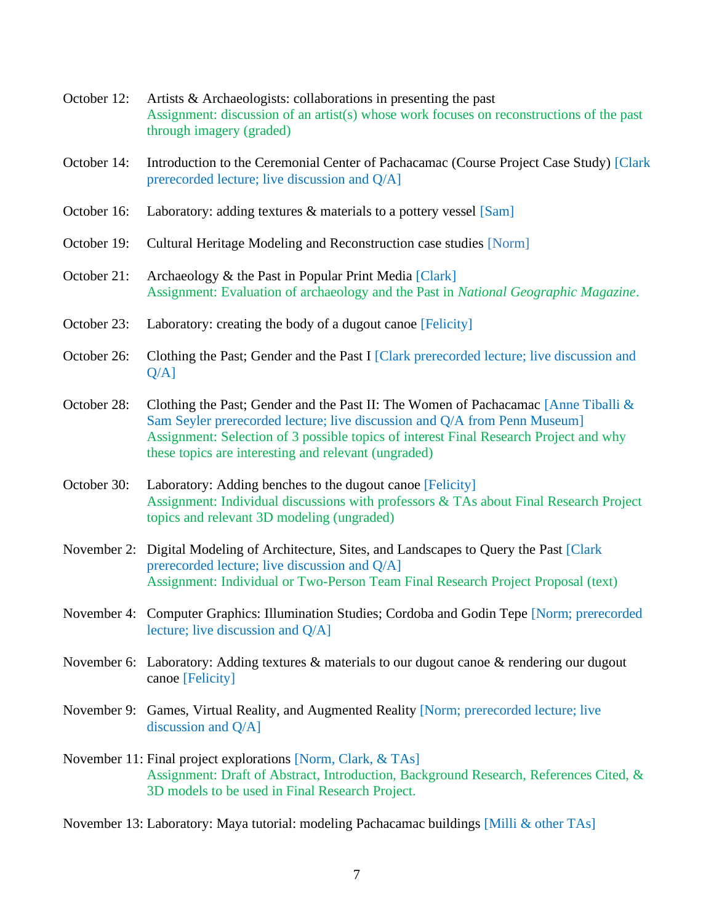- October 12: Artists & Archaeologists: collaborations in presenting the past Assignment: discussion of an artist(s) whose work focuses on reconstructions of the past through imagery (graded)
- October 14: Introduction to the Ceremonial Center of Pachacamac (Course Project Case Study) [Clark prerecorded lecture; live discussion and Q/A]
- October 16: Laboratory: adding textures & materials to a pottery vessel [Sam]
- October 19: Cultural Heritage Modeling and Reconstruction case studies [Norm]
- October 21: Archaeology & the Past in Popular Print Media [Clark] Assignment: Evaluation of archaeology and the Past in *National Geographic Magazine*.
- October 23: Laboratory: creating the body of a dugout canoe [Felicity]
- October 26: Clothing the Past; Gender and the Past I [Clark prerecorded lecture; live discussion and  $O/A$ ]
- October 28: Clothing the Past; Gender and the Past II: The Women of Pachacamac [Anne Tiballi & Sam Seyler prerecorded lecture; live discussion and Q/A from Penn Museum] Assignment: Selection of 3 possible topics of interest Final Research Project and why these topics are interesting and relevant (ungraded)
- October 30: Laboratory: Adding benches to the dugout canoe [Felicity] Assignment: Individual discussions with professors & TAs about Final Research Project topics and relevant 3D modeling (ungraded)
- November 2: Digital Modeling of Architecture, Sites, and Landscapes to Query the Past [Clark] prerecorded lecture; live discussion and Q/A] Assignment: Individual or Two-Person Team Final Research Project Proposal (text)
- November 4: Computer Graphics: Illumination Studies; Cordoba and Godin Tepe [Norm; prerecorded lecture; live discussion and Q/A]
- November 6: Laboratory: Adding textures & materials to our dugout canoe & rendering our dugout canoe [Felicity]
- November 9: Games, Virtual Reality, and Augmented Reality [Norm; prerecorded lecture; live discussion and Q/A]
- November 11: Final project explorations [Norm, Clark, & TAs] Assignment: Draft of Abstract, Introduction, Background Research, References Cited, & 3D models to be used in Final Research Project.

November 13: Laboratory: Maya tutorial: modeling Pachacamac buildings [Milli & other TAs]